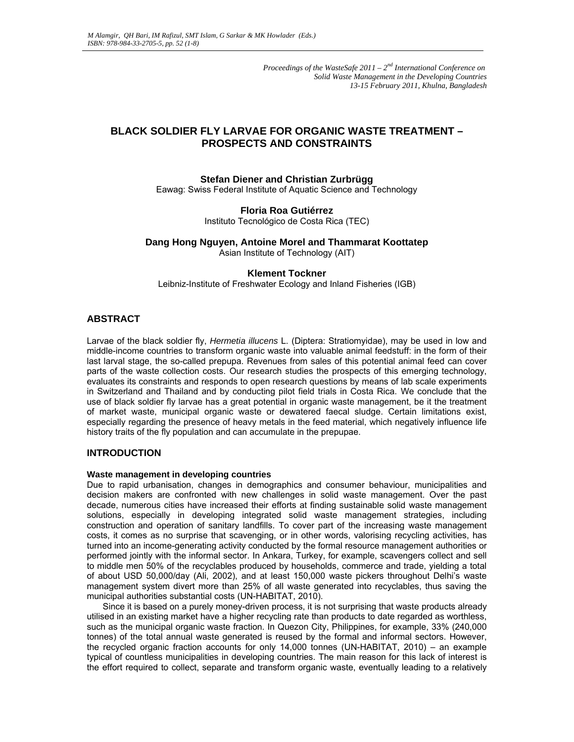*Proceedings of the WasteSafe 2011 – 2nd International Conference on Solid Waste Management in the Developing Countries 13-15 February 2011, Khulna, Bangladesh*

# **BLACK SOLDIER FLY LARVAE FOR ORGANIC WASTE TREATMENT – PROSPECTS AND CONSTRAINTS**

## **Stefan Diener and Christian Zurbrügg**

Eawag: Swiss Federal Institute of Aquatic Science and Technology

## **Floria Roa Gutiérrez**

Instituto Tecnológico de Costa Rica (TEC)

## **Dang Hong Nguyen, Antoine Morel and Thammarat Koottatep**

Asian Institute of Technology (AIT)

## **Klement Tockner**

Leibniz-Institute of Freshwater Ecology and Inland Fisheries (IGB)

## **ABSTRACT**

Larvae of the black soldier fly, *Hermetia illucens* L. (Diptera: Stratiomyidae), may be used in low and middle-income countries to transform organic waste into valuable animal feedstuff: in the form of their last larval stage, the so-called prepupa. Revenues from sales of this potential animal feed can cover parts of the waste collection costs. Our research studies the prospects of this emerging technology, evaluates its constraints and responds to open research questions by means of lab scale experiments in Switzerland and Thailand and by conducting pilot field trials in Costa Rica. We conclude that the use of black soldier fly larvae has a great potential in organic waste management, be it the treatment of market waste, municipal organic waste or dewatered faecal sludge. Certain limitations exist, especially regarding the presence of heavy metals in the feed material, which negatively influence life history traits of the fly population and can accumulate in the prepupae.

## **INTRODUCTION**

#### **Waste management in developing countries**

Due to rapid urbanisation, changes in demographics and consumer behaviour, municipalities and decision makers are confronted with new challenges in solid waste management. Over the past decade, numerous cities have increased their efforts at finding sustainable solid waste management solutions, especially in developing integrated solid waste management strategies, including construction and operation of sanitary landfills. To cover part of the increasing waste management costs, it comes as no surprise that scavenging, or in other words, valorising recycling activities, has turned into an income-generating activity conducted by the formal resource management authorities or performed jointly with the informal sector. In Ankara, Turkey, for example, scavengers collect and sell to middle men 50% of the recyclables produced by households, commerce and trade, yielding a total of about USD 50,000/day (Ali, 2002), and at least 150,000 waste pickers throughout Delhi's waste management system divert more than 25% of all waste generated into recyclables, thus saving the municipal authorities substantial costs (UN-HABITAT, 2010).

Since it is based on a purely money-driven process, it is not surprising that waste products already utilised in an existing market have a higher recycling rate than products to date regarded as worthless, such as the municipal organic waste fraction. In Quezon City, Philippines, for example, 33% (240,000 tonnes) of the total annual waste generated is reused by the formal and informal sectors. However, the recycled organic fraction accounts for only 14,000 tonnes (UN-HABITAT, 2010) – an example typical of countless municipalities in developing countries. The main reason for this lack of interest is the effort required to collect, separate and transform organic waste, eventually leading to a relatively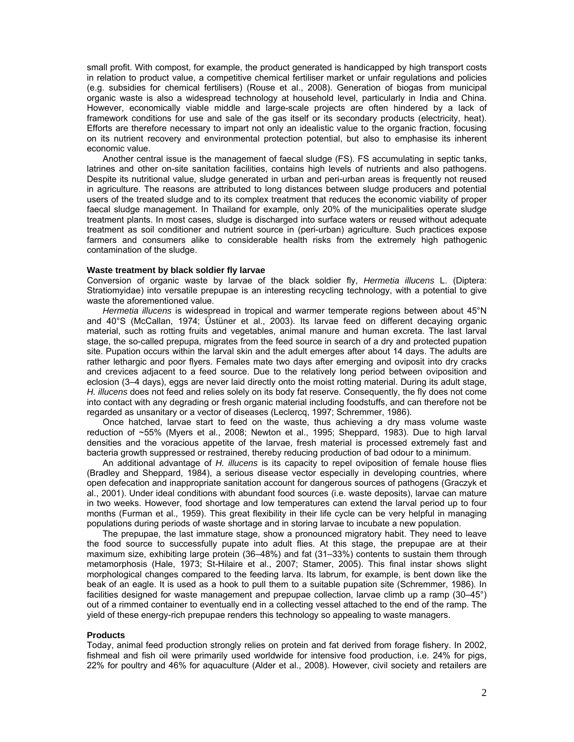small profit. With compost, for example, the product generated is handicapped by high transport costs in relation to product value, a competitive chemical fertiliser market or unfair regulations and policies (e.g. subsidies for chemical fertilisers) (Rouse et al., 2008). Generation of biogas from municipal organic waste is also a widespread technology at household level, particularly in India and China. However, economically viable middle and large-scale projects are often hindered by a lack of framework conditions for use and sale of the gas itself or its secondary products (electricity, heat). Efforts are therefore necessary to impart not only an idealistic value to the organic fraction, focusing on its nutrient recovery and environmental protection potential, but also to emphasise its inherent economic value.

Another central issue is the management of faecal sludge (FS). FS accumulating in septic tanks, latrines and other on-site sanitation facilities, contains high levels of nutrients and also pathogens. Despite its nutritional value, sludge generated in urban and peri-urban areas is frequently not reused in agriculture. The reasons are attributed to long distances between sludge producers and potential users of the treated sludge and to its complex treatment that reduces the economic viability of proper faecal sludge management. In Thailand for example, only 20% of the municipalities operate sludge treatment plants. In most cases, sludge is discharged into surface waters or reused without adequate treatment as soil conditioner and nutrient source in (peri-urban) agriculture. Such practices expose farmers and consumers alike to considerable health risks from the extremely high pathogenic contamination of the sludge.

#### **Waste treatment by black soldier fly larvae**

Conversion of organic waste by larvae of the black soldier fly, *Hermetia illucens* L. (Diptera: Stratiomyidae) into versatile prepupae is an interesting recycling technology, with a potential to give waste the aforementioned value.

*Hermetia illucens* is widespread in tropical and warmer temperate regions between about 45°N and 40°S (McCallan, 1974; Üstüner et al., 2003). Its larvae feed on different decaying organic material, such as rotting fruits and vegetables, animal manure and human excreta. The last larval stage, the so-called prepupa, migrates from the feed source in search of a dry and protected pupation site. Pupation occurs within the larval skin and the adult emerges after about 14 days. The adults are rather lethargic and poor flyers. Females mate two days after emerging and oviposit into dry cracks and crevices adjacent to a feed source. Due to the relatively long period between oviposition and eclosion (3–4 days), eggs are never laid directly onto the moist rotting material. During its adult stage, *H. illucens* does not feed and relies solely on its body fat reserve. Consequently, the fly does not come into contact with any degrading or fresh organic material including foodstuffs, and can therefore not be regarded as unsanitary or a vector of diseases (Leclercq, 1997; Schremmer, 1986).

Once hatched, larvae start to feed on the waste, thus achieving a dry mass volume waste reduction of ~55% (Myers et al., 2008; Newton et al., 1995; Sheppard, 1983). Due to high larval densities and the voracious appetite of the larvae, fresh material is processed extremely fast and bacteria growth suppressed or restrained, thereby reducing production of bad odour to a minimum.

An additional advantage of *H. illucens* is its capacity to repel oviposition of female house flies (Bradley and Sheppard, 1984), a serious disease vector especially in developing countries, where open defecation and inappropriate sanitation account for dangerous sources of pathogens (Graczyk et al., 2001). Under ideal conditions with abundant food sources (i.e. waste deposits), larvae can mature in two weeks. However, food shortage and low temperatures can extend the larval period up to four months (Furman et al., 1959). This great flexibility in their life cycle can be very helpful in managing populations during periods of waste shortage and in storing larvae to incubate a new population.

The prepupae, the last immature stage, show a pronounced migratory habit. They need to leave the food source to successfully pupate into adult flies. At this stage, the prepupae are at their maximum size, exhibiting large protein (36–48%) and fat (31–33%) contents to sustain them through metamorphosis (Hale, 1973; St-Hilaire et al., 2007; Stamer, 2005). This final instar shows slight morphological changes compared to the feeding larva. Its labrum, for example, is bent down like the beak of an eagle. It is used as a hook to pull them to a suitable pupation site (Schremmer, 1986). In facilities designed for waste management and prepupae collection, larvae climb up a ramp (30–45°) out of a rimmed container to eventually end in a collecting vessel attached to the end of the ramp. The yield of these energy-rich prepupae renders this technology so appealing to waste managers.

#### **Products**

Today, animal feed production strongly relies on protein and fat derived from forage fishery. In 2002, fishmeal and fish oil were primarily used worldwide for intensive food production, i.e. 24% for pigs, 22% for poultry and 46% for aquaculture (Alder et al., 2008). However, civil society and retailers are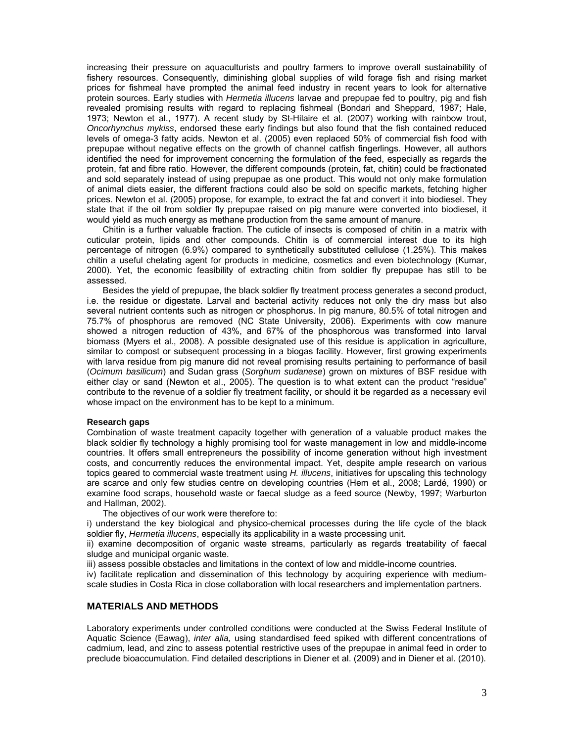increasing their pressure on aquaculturists and poultry farmers to improve overall sustainability of fishery resources. Consequently, diminishing global supplies of wild forage fish and rising market prices for fishmeal have prompted the animal feed industry in recent years to look for alternative protein sources. Early studies with *Hermetia illucens* larvae and prepupae fed to poultry, pig and fish revealed promising results with regard to replacing fishmeal (Bondari and Sheppard, 1987; Hale, 1973; Newton et al., 1977). A recent study by St-Hilaire et al. (2007) working with rainbow trout, *Oncorhynchus mykiss*, endorsed these early findings but also found that the fish contained reduced levels of omega-3 fatty acids. Newton et al. (2005) even replaced 50% of commercial fish food with prepupae without negative effects on the growth of channel catfish fingerlings. However, all authors identified the need for improvement concerning the formulation of the feed, especially as regards the protein, fat and fibre ratio. However, the different compounds (protein, fat, chitin) could be fractionated and sold separately instead of using prepupae as one product. This would not only make formulation of animal diets easier, the different fractions could also be sold on specific markets, fetching higher prices. Newton et al. (2005) propose, for example, to extract the fat and convert it into biodiesel. They state that if the oil from soldier fly prepupae raised on pig manure were converted into biodiesel, it would yield as much energy as methane production from the same amount of manure.

Chitin is a further valuable fraction. The cuticle of insects is composed of chitin in a matrix with cuticular protein, lipids and other compounds. Chitin is of commercial interest due to its high percentage of nitrogen (6.9%) compared to synthetically substituted cellulose (1.25%). This makes chitin a useful chelating agent for products in medicine, cosmetics and even biotechnology (Kumar, 2000). Yet, the economic feasibility of extracting chitin from soldier fly prepupae has still to be assessed.

Besides the yield of prepupae, the black soldier fly treatment process generates a second product, i.e. the residue or digestate. Larval and bacterial activity reduces not only the dry mass but also several nutrient contents such as nitrogen or phosphorus. In pig manure, 80.5% of total nitrogen and 75.7% of phosphorus are removed (NC State University, 2006). Experiments with cow manure showed a nitrogen reduction of 43%, and 67% of the phosphorous was transformed into larval biomass (Myers et al., 2008). A possible designated use of this residue is application in agriculture, similar to compost or subsequent processing in a biogas facility. However, first growing experiments with larva residue from pig manure did not reveal promising results pertaining to performance of basil (*Ocimum basilicum*) and Sudan grass (*Sorghum sudanese*) grown on mixtures of BSF residue with either clay or sand (Newton et al., 2005). The question is to what extent can the product "residue" contribute to the revenue of a soldier fly treatment facility, or should it be regarded as a necessary evil whose impact on the environment has to be kept to a minimum.

### **Research gaps**

Combination of waste treatment capacity together with generation of a valuable product makes the black soldier fly technology a highly promising tool for waste management in low and middle-income countries. It offers small entrepreneurs the possibility of income generation without high investment costs, and concurrently reduces the environmental impact. Yet, despite ample research on various topics geared to commercial waste treatment using *H. illucens*, initiatives for upscaling this technology are scarce and only few studies centre on developing countries (Hem et al., 2008; Lardé, 1990) or examine food scraps, household waste or faecal sludge as a feed source (Newby, 1997; Warburton and Hallman, 2002).

The objectives of our work were therefore to:

i) understand the key biological and physico-chemical processes during the life cycle of the black soldier fly, *Hermetia illucens*, especially its applicability in a waste processing unit.

ii) examine decomposition of organic waste streams, particularly as regards treatability of faecal sludge and municipal organic waste.

iii) assess possible obstacles and limitations in the context of low and middle-income countries.

iv) facilitate replication and dissemination of this technology by acquiring experience with mediumscale studies in Costa Rica in close collaboration with local researchers and implementation partners.

## **MATERIALS AND METHODS**

Laboratory experiments under controlled conditions were conducted at the Swiss Federal Institute of Aquatic Science (Eawag), *inter alia,* using standardised feed spiked with different concentrations of cadmium, lead, and zinc to assess potential restrictive uses of the prepupae in animal feed in order to preclude bioaccumulation. Find detailed descriptions in Diener et al. (2009) and in Diener et al. (2010).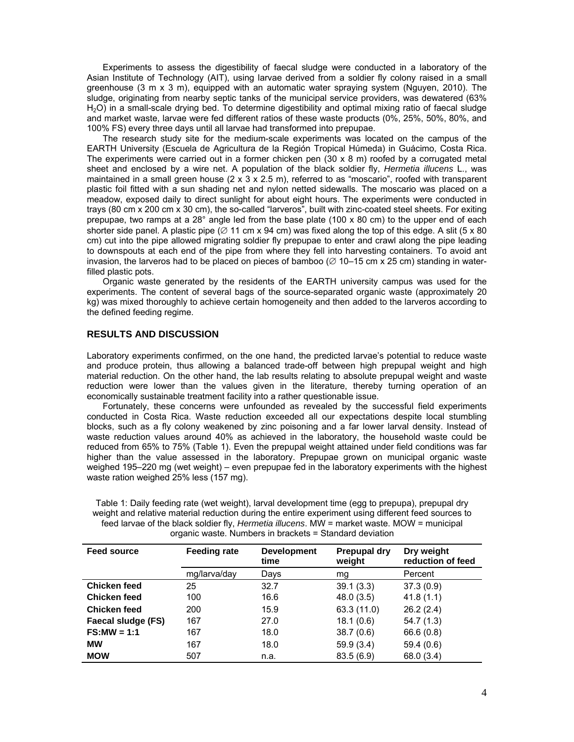Experiments to assess the digestibility of faecal sludge were conducted in a laboratory of the Asian Institute of Technology (AIT), using larvae derived from a soldier fly colony raised in a small greenhouse (3 m x 3 m), equipped with an automatic water spraying system (Nguyen, 2010). The sludge, originating from nearby septic tanks of the municipal service providers, was dewatered (63% H2O) in a small-scale drying bed. To determine digestibility and optimal mixing ratio of faecal sludge and market waste, larvae were fed different ratios of these waste products (0%, 25%, 50%, 80%, and 100% FS) every three days until all larvae had transformed into prepupae.

The research study site for the medium-scale experiments was located on the campus of the EARTH University (Escuela de Agricultura de la Región Tropical Húmeda) in Guácimo, Costa Rica. The experiments were carried out in a former chicken pen  $(30 \times 8 \text{ m})$  roofed by a corrugated metal sheet and enclosed by a wire net. A population of the black soldier fly, *Hermetia illucens* L., was maintained in a small green house  $(2 \times 3 \times 2.5 \text{ m})$ , referred to as "moscario", roofed with transparent plastic foil fitted with a sun shading net and nylon netted sidewalls. The moscario was placed on a meadow, exposed daily to direct sunlight for about eight hours. The experiments were conducted in trays (80 cm x 200 cm x 30 cm), the so-called "larveros", built with zinc-coated steel sheets. For exiting prepupae, two ramps at a 28° angle led from the base plate (100 x 80 cm) to the upper end of each shorter side panel. A plastic pipe ( $\varnothing$  11 cm x 94 cm) was fixed along the top of this edge. A slit (5 x 80 cm) cut into the pipe allowed migrating soldier fly prepupae to enter and crawl along the pipe leading to downspouts at each end of the pipe from where they fell into harvesting containers. To avoid ant invasion, the larveros had to be placed on pieces of bamboo ( $\varnothing$  10–15 cm x 25 cm) standing in waterfilled plastic pots.

Organic waste generated by the residents of the EARTH university campus was used for the experiments. The content of several bags of the source-separated organic waste (approximately 20 kg) was mixed thoroughly to achieve certain homogeneity and then added to the larveros according to the defined feeding regime.

### **RESULTS AND DISCUSSION**

Laboratory experiments confirmed, on the one hand, the predicted larvae's potential to reduce waste and produce protein, thus allowing a balanced trade-off between high prepupal weight and high material reduction. On the other hand, the lab results relating to absolute prepupal weight and waste reduction were lower than the values given in the literature, thereby turning operation of an economically sustainable treatment facility into a rather questionable issue.

Fortunately, these concerns were unfounded as revealed by the successful field experiments conducted in Costa Rica. Waste reduction exceeded all our expectations despite local stumbling blocks, such as a fly colony weakened by zinc poisoning and a far lower larval density. Instead of waste reduction values around 40% as achieved in the laboratory, the household waste could be reduced from 65% to 75% (Table 1). Even the prepupal weight attained under field conditions was far higher than the value assessed in the laboratory. Prepupae grown on municipal organic waste weighed 195–220 mg (wet weight) – even prepupae fed in the laboratory experiments with the highest waste ration weighed 25% less (157 mg).

| <b>Feed source</b>  | <b>Feeding rate</b> | <b>Development</b><br>time | Prepupal dry<br>weight | Dry weight<br>reduction of feed |
|---------------------|---------------------|----------------------------|------------------------|---------------------------------|
|                     | mg/larva/day        | Days                       | mg                     | Percent                         |
| <b>Chicken feed</b> | 25                  | 32.7                       | 39.1(3.3)              | 37.3(0.9)                       |
| <b>Chicken feed</b> | 100                 | 16.6                       | 48.0(3.5)              | 41.8(1.1)                       |
| <b>Chicken feed</b> | 200                 | 15.9                       | 63.3 (11.0)            | 26.2(2.4)                       |
| Faecal sludge (FS)  | 167                 | 27.0                       | 18.1(0.6)              | 54.7(1.3)                       |
| $FS:MW = 1:1$       | 167                 | 18.0                       | 38.7(0.6)              | 66.6 (0.8)                      |
| <b>MW</b>           | 167                 | 18.0                       | 59.9(3.4)              | 59.4(0.6)                       |
| <b>MOW</b>          | 507                 | n.a.                       | 83.5(6.9)              | 68.0 (3.4)                      |

Table 1: Daily feeding rate (wet weight), larval development time (egg to prepupa), prepupal dry weight and relative material reduction during the entire experiment using different feed sources to feed larvae of the black soldier fly, *Hermetia illucens*. MW = market waste. MOW = municipal organic waste. Numbers in brackets = Standard deviation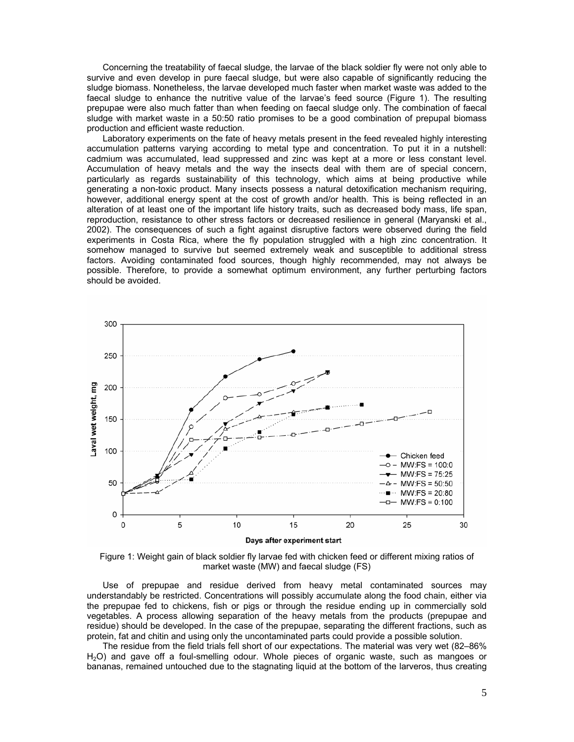Concerning the treatability of faecal sludge, the larvae of the black soldier fly were not only able to survive and even develop in pure faecal sludge, but were also capable of significantly reducing the sludge biomass. Nonetheless, the larvae developed much faster when market waste was added to the faecal sludge to enhance the nutritive value of the larvae's feed source (Figure 1). The resulting prepupae were also much fatter than when feeding on faecal sludge only. The combination of faecal sludge with market waste in a 50:50 ratio promises to be a good combination of prepupal biomass production and efficient waste reduction.

Laboratory experiments on the fate of heavy metals present in the feed revealed highly interesting accumulation patterns varying according to metal type and concentration. To put it in a nutshell: cadmium was accumulated, lead suppressed and zinc was kept at a more or less constant level. Accumulation of heavy metals and the way the insects deal with them are of special concern, particularly as regards sustainability of this technology, which aims at being productive while generating a non-toxic product. Many insects possess a natural detoxification mechanism requiring, however, additional energy spent at the cost of growth and/or health. This is being reflected in an alteration of at least one of the important life history traits, such as decreased body mass, life span, reproduction, resistance to other stress factors or decreased resilience in general (Maryanski et al., 2002). The consequences of such a fight against disruptive factors were observed during the field experiments in Costa Rica, where the fly population struggled with a high zinc concentration. It somehow managed to survive but seemed extremely weak and susceptible to additional stress factors. Avoiding contaminated food sources, though highly recommended, may not always be possible. Therefore, to provide a somewhat optimum environment, any further perturbing factors should be avoided.



Figure 1: Weight gain of black soldier fly larvae fed with chicken feed or different mixing ratios of market waste (MW) and faecal sludge (FS)

Use of prepupae and residue derived from heavy metal contaminated sources may understandably be restricted. Concentrations will possibly accumulate along the food chain, either via the prepupae fed to chickens, fish or pigs or through the residue ending up in commercially sold vegetables. A process allowing separation of the heavy metals from the products (prepupae and residue) should be developed. In the case of the prepupae, separating the different fractions, such as protein, fat and chitin and using only the uncontaminated parts could provide a possible solution.

The residue from the field trials fell short of our expectations. The material was very wet (82–86% H2O) and gave off a foul-smelling odour. Whole pieces of organic waste, such as mangoes or bananas, remained untouched due to the stagnating liquid at the bottom of the larveros, thus creating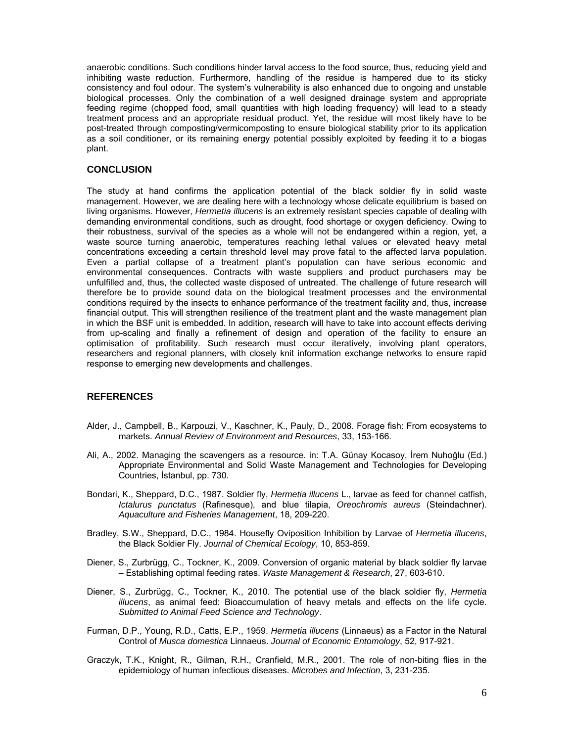anaerobic conditions. Such conditions hinder larval access to the food source, thus, reducing yield and inhibiting waste reduction. Furthermore, handling of the residue is hampered due to its sticky consistency and foul odour. The system's vulnerability is also enhanced due to ongoing and unstable biological processes. Only the combination of a well designed drainage system and appropriate feeding regime (chopped food, small quantities with high loading frequency) will lead to a steady treatment process and an appropriate residual product. Yet, the residue will most likely have to be post-treated through composting/vermicomposting to ensure biological stability prior to its application as a soil conditioner, or its remaining energy potential possibly exploited by feeding it to a biogas plant.

## **CONCLUSION**

The study at hand confirms the application potential of the black soldier fly in solid waste management. However, we are dealing here with a technology whose delicate equilibrium is based on living organisms. However, *Hermetia illucens* is an extremely resistant species capable of dealing with demanding environmental conditions, such as drought, food shortage or oxygen deficiency. Owing to their robustness, survival of the species as a whole will not be endangered within a region, yet, a waste source turning anaerobic, temperatures reaching lethal values or elevated heavy metal concentrations exceeding a certain threshold level may prove fatal to the affected larva population. Even a partial collapse of a treatment plant's population can have serious economic and environmental consequences. Contracts with waste suppliers and product purchasers may be unfulfilled and, thus, the collected waste disposed of untreated. The challenge of future research will therefore be to provide sound data on the biological treatment processes and the environmental conditions required by the insects to enhance performance of the treatment facility and, thus, increase financial output. This will strengthen resilience of the treatment plant and the waste management plan in which the BSF unit is embedded. In addition, research will have to take into account effects deriving from up-scaling and finally a refinement of design and operation of the facility to ensure an optimisation of profitability. Such research must occur iteratively, involving plant operators, researchers and regional planners, with closely knit information exchange networks to ensure rapid response to emerging new developments and challenges.

## **REFERENCES**

- Alder, J., Campbell, B., Karpouzi, V., Kaschner, K., Pauly, D., 2008. Forage fish: From ecosystems to markets. *Annual Review of Environment and Resources*, 33, 153-166.
- Ali, A., 2002. Managing the scavengers as a resource. in: T.A. Günay Kocasoy, İrem Nuhoğlu (Ed.) Appropriate Environmental and Solid Waste Management and Technologies for Developing Countries, İstanbul, pp. 730.
- Bondari, K., Sheppard, D.C., 1987. Soldier fly, *Hermetia illucens* L., larvae as feed for channel catfish, *Ictalurus punctatus* (Rafinesque), and blue tilapia, *Oreochromis aureus* (Steindachner). *Aquaculture and Fisheries Management*, 18, 209-220.
- Bradley, S.W., Sheppard, D.C., 1984. Housefly Oviposition Inhibition by Larvae of *Hermetia illucens*, the Black Soldier Fly. *Journal of Chemical Ecology*, 10, 853-859.
- Diener, S., Zurbrügg, C., Tockner, K., 2009. Conversion of organic material by black soldier fly larvae – Establishing optimal feeding rates. *Waste Management & Research*, 27, 603-610.
- Diener, S., Zurbrügg, C., Tockner, K., 2010. The potential use of the black soldier fly, *Hermetia illucens*, as animal feed: Bioaccumulation of heavy metals and effects on the life cycle. *Submitted to Animal Feed Science and Technology*.
- Furman, D.P., Young, R.D., Catts, E.P., 1959. *Hermetia illucens* (Linnaeus) as a Factor in the Natural Control of *Musca domestica* Linnaeus. *Journal of Economic Entomology*, 52, 917-921.
- Graczyk, T.K., Knight, R., Gilman, R.H., Cranfield, M.R., 2001. The role of non-biting flies in the epidemiology of human infectious diseases. *Microbes and Infection*, 3, 231-235.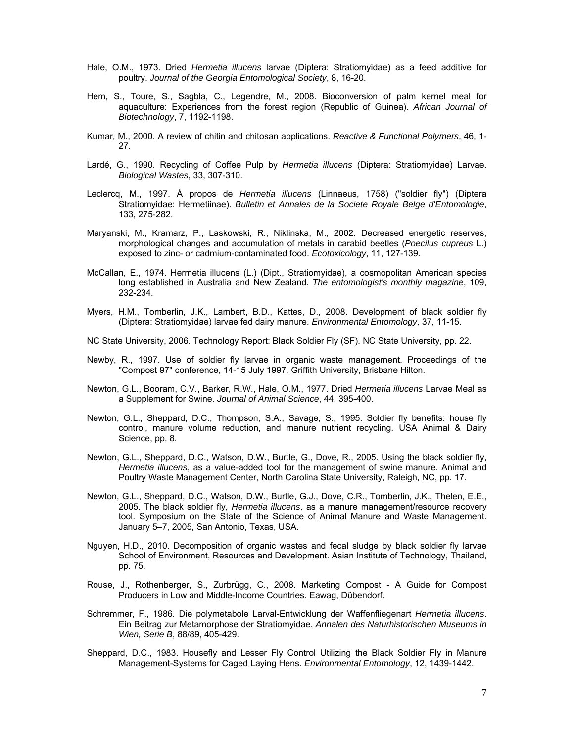- Hale, O.M., 1973. Dried *Hermetia illucens* larvae (Diptera: Stratiomyidae) as a feed additive for poultry. *Journal of the Georgia Entomological Society*, 8, 16-20.
- Hem, S., Toure, S., Sagbla, C., Legendre, M., 2008. Bioconversion of palm kernel meal for aquaculture: Experiences from the forest region (Republic of Guinea). *African Journal of Biotechnology*, 7, 1192-1198.
- Kumar, M., 2000. A review of chitin and chitosan applications. *Reactive & Functional Polymers*, 46, 1- 27.
- Lardé, G., 1990. Recycling of Coffee Pulp by *Hermetia illucens* (Diptera: Stratiomyidae) Larvae. *Biological Wastes*, 33, 307-310.
- Leclercq, M., 1997. Á propos de *Hermetia illucens* (Linnaeus, 1758) ("soldier fly") (Diptera Stratiomyidae: Hermetiinae). *Bulletin et Annales de la Societe Royale Belge d'Entomologie*, 133, 275-282.
- Maryanski, M., Kramarz, P., Laskowski, R., Niklinska, M., 2002. Decreased energetic reserves, morphological changes and accumulation of metals in carabid beetles (*Poecilus cupreus* L.) exposed to zinc- or cadmium-contaminated food. *Ecotoxicology*, 11, 127-139.
- McCallan, E., 1974. Hermetia illucens (L.) (Dipt., Stratiomyidae), a cosmopolitan American species long established in Australia and New Zealand. *The entomologist's monthly magazine*, 109, 232-234.
- Myers, H.M., Tomberlin, J.K., Lambert, B.D., Kattes, D., 2008. Development of black soldier fly (Diptera: Stratiomyidae) larvae fed dairy manure. *Environmental Entomology*, 37, 11-15.
- NC State University, 2006. Technology Report: Black Soldier Fly (SF). NC State University, pp. 22.
- Newby, R., 1997. Use of soldier fly larvae in organic waste management. Proceedings of the "Compost 97" conference, 14-15 July 1997, Griffith University, Brisbane Hilton.
- Newton, G.L., Booram, C.V., Barker, R.W., Hale, O.M., 1977. Dried *Hermetia illucens* Larvae Meal as a Supplement for Swine. *Journal of Animal Science*, 44, 395-400.
- Newton, G.L., Sheppard, D.C., Thompson, S.A., Savage, S., 1995. Soldier fly benefits: house fly control, manure volume reduction, and manure nutrient recycling. USA Animal & Dairy Science, pp. 8.
- Newton, G.L., Sheppard, D.C., Watson, D.W., Burtle, G., Dove, R., 2005. Using the black soldier fly, *Hermetia illucens*, as a value-added tool for the management of swine manure. Animal and Poultry Waste Management Center, North Carolina State University, Raleigh, NC, pp. 17.
- Newton, G.L., Sheppard, D.C., Watson, D.W., Burtle, G.J., Dove, C.R., Tomberlin, J.K., Thelen, E.E., 2005. The black soldier fly, *Hermetia illucens*, as a manure management/resource recovery tool. Symposium on the State of the Science of Animal Manure and Waste Management. January 5–7, 2005, San Antonio, Texas, USA.
- Nguyen, H.D., 2010. Decomposition of organic wastes and fecal sludge by black soldier fly larvae School of Environment, Resources and Development. Asian Institute of Technology, Thailand, pp. 75.
- Rouse, J., Rothenberger, S., Zurbrügg, C., 2008. Marketing Compost A Guide for Compost Producers in Low and Middle-Income Countries. Eawag, Dübendorf.
- Schremmer, F., 1986. Die polymetabole Larval-Entwicklung der Waffenfliegenart *Hermetia illucens*. Ein Beitrag zur Metamorphose der Stratiomyidae. *Annalen des Naturhistorischen Museums in Wien, Serie B*, 88/89, 405-429.
- Sheppard, D.C., 1983. Housefly and Lesser Fly Control Utilizing the Black Soldier Fly in Manure Management-Systems for Caged Laying Hens. *Environmental Entomology*, 12, 1439-1442.